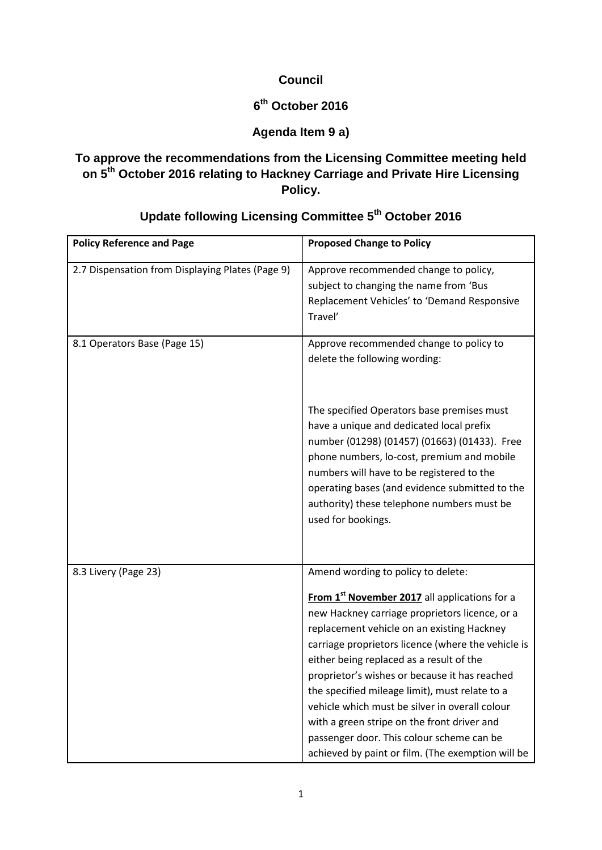#### **Council**

# **6th October 2016**

### **Agenda Item 9 a)**

### **To approve the recommendations from the Licensing Committee meeting held on 5th October 2016 relating to Hackney Carriage and Private Hire Licensing Policy.**

| <b>Policy Reference and Page</b>                 | <b>Proposed Change to Policy</b>                                                                                                                                                                                                                                                                                                                                                                                                                                                                                                                                                                        |
|--------------------------------------------------|---------------------------------------------------------------------------------------------------------------------------------------------------------------------------------------------------------------------------------------------------------------------------------------------------------------------------------------------------------------------------------------------------------------------------------------------------------------------------------------------------------------------------------------------------------------------------------------------------------|
| 2.7 Dispensation from Displaying Plates (Page 9) | Approve recommended change to policy,<br>subject to changing the name from 'Bus<br>Replacement Vehicles' to 'Demand Responsive<br>Travel'                                                                                                                                                                                                                                                                                                                                                                                                                                                               |
| 8.1 Operators Base (Page 15)                     | Approve recommended change to policy to<br>delete the following wording:<br>The specified Operators base premises must<br>have a unique and dedicated local prefix<br>number (01298) (01457) (01663) (01433). Free<br>phone numbers, lo-cost, premium and mobile<br>numbers will have to be registered to the<br>operating bases (and evidence submitted to the                                                                                                                                                                                                                                         |
|                                                  | authority) these telephone numbers must be<br>used for bookings.                                                                                                                                                                                                                                                                                                                                                                                                                                                                                                                                        |
| 8.3 Livery (Page 23)                             | Amend wording to policy to delete:<br>From 1 <sup>st</sup> November 2017 all applications for a<br>new Hackney carriage proprietors licence, or a<br>replacement vehicle on an existing Hackney<br>carriage proprietors licence (where the vehicle is<br>either being replaced as a result of the<br>proprietor's wishes or because it has reached<br>the specified mileage limit), must relate to a<br>vehicle which must be silver in overall colour<br>with a green stripe on the front driver and<br>passenger door. This colour scheme can be<br>achieved by paint or film. (The exemption will be |

# **Update following Licensing Committee 5th October 2016**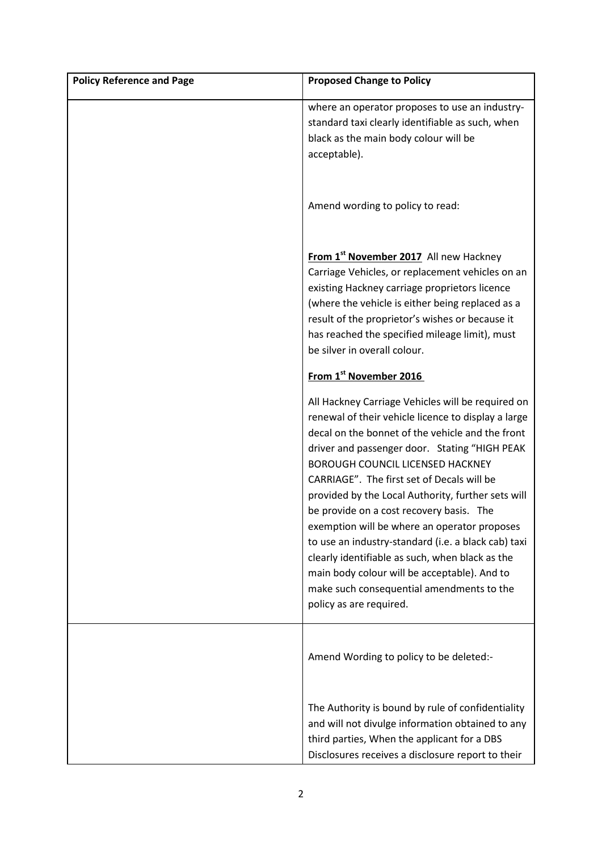| <b>Policy Reference and Page</b> | <b>Proposed Change to Policy</b>                                                                                                                                                                                                                                                                                                                                                                                                                                                                                                                                                                                                                                                           |
|----------------------------------|--------------------------------------------------------------------------------------------------------------------------------------------------------------------------------------------------------------------------------------------------------------------------------------------------------------------------------------------------------------------------------------------------------------------------------------------------------------------------------------------------------------------------------------------------------------------------------------------------------------------------------------------------------------------------------------------|
|                                  | where an operator proposes to use an industry-<br>standard taxi clearly identifiable as such, when<br>black as the main body colour will be<br>acceptable).                                                                                                                                                                                                                                                                                                                                                                                                                                                                                                                                |
|                                  | Amend wording to policy to read:                                                                                                                                                                                                                                                                                                                                                                                                                                                                                                                                                                                                                                                           |
|                                  | From 1 <sup>st</sup> November 2017 All new Hackney<br>Carriage Vehicles, or replacement vehicles on an<br>existing Hackney carriage proprietors licence<br>(where the vehicle is either being replaced as a<br>result of the proprietor's wishes or because it<br>has reached the specified mileage limit), must<br>be silver in overall colour.                                                                                                                                                                                                                                                                                                                                           |
|                                  | From 1st November 2016                                                                                                                                                                                                                                                                                                                                                                                                                                                                                                                                                                                                                                                                     |
|                                  | All Hackney Carriage Vehicles will be required on<br>renewal of their vehicle licence to display a large<br>decal on the bonnet of the vehicle and the front<br>driver and passenger door. Stating "HIGH PEAK<br><b>BOROUGH COUNCIL LICENSED HACKNEY</b><br>CARRIAGE". The first set of Decals will be<br>provided by the Local Authority, further sets will<br>be provide on a cost recovery basis. The<br>exemption will be where an operator proposes<br>to use an industry-standard (i.e. a black cab) taxi<br>clearly identifiable as such, when black as the<br>main body colour will be acceptable). And to<br>make such consequential amendments to the<br>policy as are required. |
|                                  | Amend Wording to policy to be deleted:-                                                                                                                                                                                                                                                                                                                                                                                                                                                                                                                                                                                                                                                    |
|                                  | The Authority is bound by rule of confidentiality<br>and will not divulge information obtained to any<br>third parties, When the applicant for a DBS<br>Disclosures receives a disclosure report to their                                                                                                                                                                                                                                                                                                                                                                                                                                                                                  |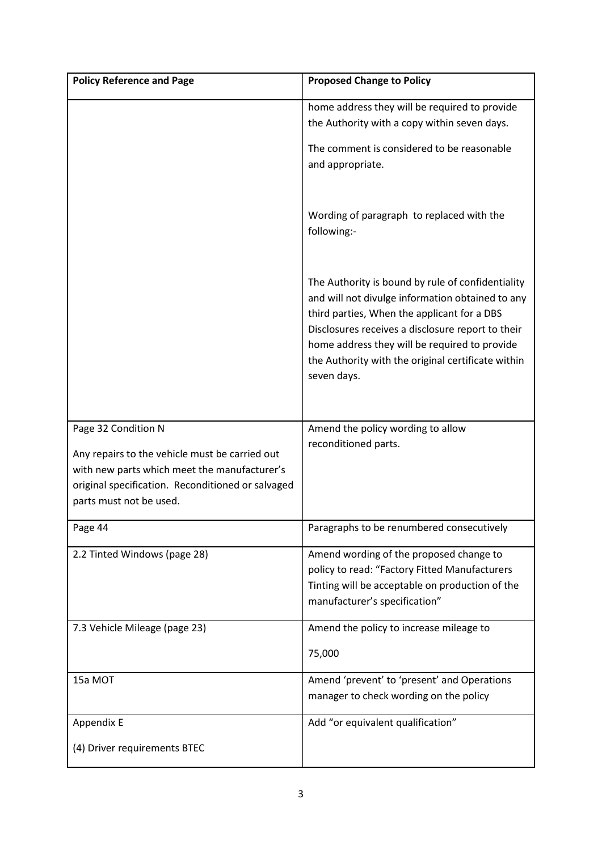| <b>Policy Reference and Page</b>                                                                                                                                                                      | <b>Proposed Change to Policy</b>                                                                                                                                                                                                                                                                                                |
|-------------------------------------------------------------------------------------------------------------------------------------------------------------------------------------------------------|---------------------------------------------------------------------------------------------------------------------------------------------------------------------------------------------------------------------------------------------------------------------------------------------------------------------------------|
|                                                                                                                                                                                                       | home address they will be required to provide<br>the Authority with a copy within seven days.                                                                                                                                                                                                                                   |
|                                                                                                                                                                                                       | The comment is considered to be reasonable<br>and appropriate.                                                                                                                                                                                                                                                                  |
|                                                                                                                                                                                                       | Wording of paragraph to replaced with the<br>following:-                                                                                                                                                                                                                                                                        |
|                                                                                                                                                                                                       | The Authority is bound by rule of confidentiality<br>and will not divulge information obtained to any<br>third parties, When the applicant for a DBS<br>Disclosures receives a disclosure report to their<br>home address they will be required to provide<br>the Authority with the original certificate within<br>seven days. |
| Page 32 Condition N<br>Any repairs to the vehicle must be carried out<br>with new parts which meet the manufacturer's<br>original specification. Reconditioned or salvaged<br>parts must not be used. | Amend the policy wording to allow<br>reconditioned parts.                                                                                                                                                                                                                                                                       |
| Page 44                                                                                                                                                                                               | Paragraphs to be renumbered consecutively                                                                                                                                                                                                                                                                                       |
| 2.2 Tinted Windows (page 28)                                                                                                                                                                          | Amend wording of the proposed change to<br>policy to read: "Factory Fitted Manufacturers<br>Tinting will be acceptable on production of the<br>manufacturer's specification"                                                                                                                                                    |
| 7.3 Vehicle Mileage (page 23)                                                                                                                                                                         | Amend the policy to increase mileage to<br>75,000                                                                                                                                                                                                                                                                               |
| 15a MOT                                                                                                                                                                                               | Amend 'prevent' to 'present' and Operations<br>manager to check wording on the policy                                                                                                                                                                                                                                           |
| Appendix E                                                                                                                                                                                            | Add "or equivalent qualification"                                                                                                                                                                                                                                                                                               |
| (4) Driver requirements BTEC                                                                                                                                                                          |                                                                                                                                                                                                                                                                                                                                 |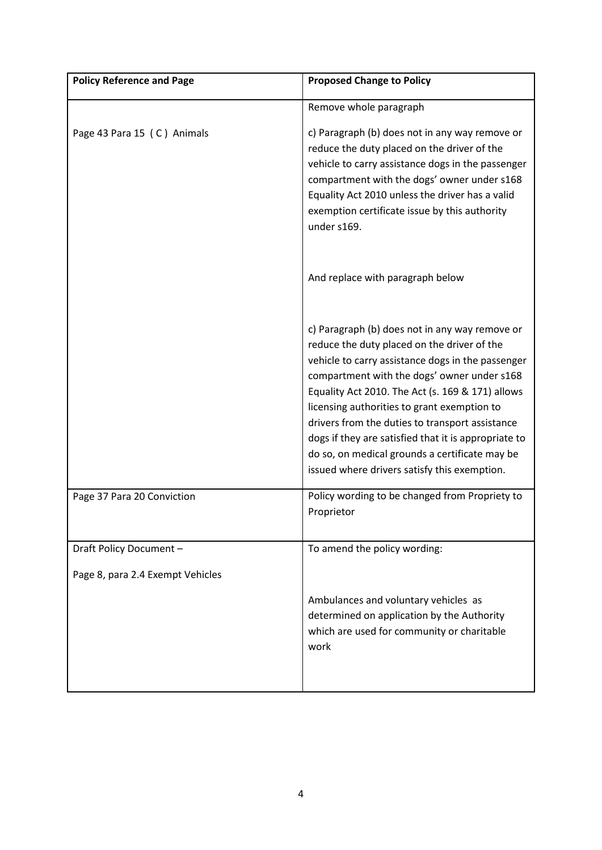| <b>Policy Reference and Page</b> | <b>Proposed Change to Policy</b>                                                                                                                                                                                                                                                                                                                                                                                                                                                                                  |
|----------------------------------|-------------------------------------------------------------------------------------------------------------------------------------------------------------------------------------------------------------------------------------------------------------------------------------------------------------------------------------------------------------------------------------------------------------------------------------------------------------------------------------------------------------------|
|                                  | Remove whole paragraph                                                                                                                                                                                                                                                                                                                                                                                                                                                                                            |
| Page 43 Para 15 (C) Animals      | c) Paragraph (b) does not in any way remove or<br>reduce the duty placed on the driver of the<br>vehicle to carry assistance dogs in the passenger<br>compartment with the dogs' owner under s168<br>Equality Act 2010 unless the driver has a valid<br>exemption certificate issue by this authority<br>under s169.                                                                                                                                                                                              |
|                                  | And replace with paragraph below                                                                                                                                                                                                                                                                                                                                                                                                                                                                                  |
|                                  | c) Paragraph (b) does not in any way remove or<br>reduce the duty placed on the driver of the<br>vehicle to carry assistance dogs in the passenger<br>compartment with the dogs' owner under s168<br>Equality Act 2010. The Act (s. 169 & 171) allows<br>licensing authorities to grant exemption to<br>drivers from the duties to transport assistance<br>dogs if they are satisfied that it is appropriate to<br>do so, on medical grounds a certificate may be<br>issued where drivers satisfy this exemption. |
| Page 37 Para 20 Conviction       | Policy wording to be changed from Propriety to<br>Proprietor                                                                                                                                                                                                                                                                                                                                                                                                                                                      |
| Draft Policy Document -          | To amend the policy wording:                                                                                                                                                                                                                                                                                                                                                                                                                                                                                      |
| Page 8, para 2.4 Exempt Vehicles |                                                                                                                                                                                                                                                                                                                                                                                                                                                                                                                   |
|                                  | Ambulances and voluntary vehicles as<br>determined on application by the Authority<br>which are used for community or charitable<br>work                                                                                                                                                                                                                                                                                                                                                                          |